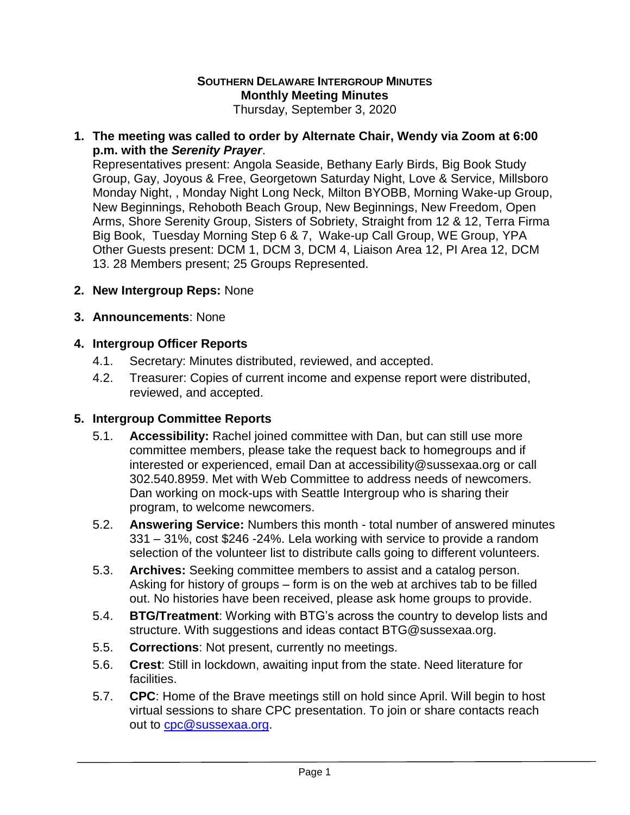# **SOUTHERN DELAWARE INTERGROUP MINUTES Monthly Meeting Minutes**

Thursday, September 3, 2020

## **1. The meeting was called to order by Alternate Chair, Wendy via Zoom at 6:00 p.m. with the** *Serenity Prayer*.

Representatives present: Angola Seaside, Bethany Early Birds, Big Book Study Group, Gay, Joyous & Free, Georgetown Saturday Night, Love & Service, Millsboro Monday Night, , Monday Night Long Neck, Milton BYOBB, Morning Wake-up Group, New Beginnings, Rehoboth Beach Group, New Beginnings, New Freedom, Open Arms, Shore Serenity Group, Sisters of Sobriety, Straight from 12 & 12, Terra Firma Big Book, Tuesday Morning Step 6 & 7, Wake-up Call Group, WE Group, YPA Other Guests present: DCM 1, DCM 3, DCM 4, Liaison Area 12, PI Area 12, DCM 13. 28 Members present; 25 Groups Represented.

**2. New Intergroup Reps:** None

## **3. Announcements**: None

## **4. Intergroup Officer Reports**

- 4.1. Secretary: Minutes distributed, reviewed, and accepted.
- 4.2. Treasurer: Copies of current income and expense report were distributed, reviewed, and accepted.

#### **5. Intergroup Committee Reports**

- 5.1. **Accessibility:** Rachel joined committee with Dan, but can still use more committee members, please take the request back to homegroups and if interested or experienced, email Dan at accessibility@sussexaa.org or call 302.540.8959. Met with Web Committee to address needs of newcomers. Dan working on mock-ups with Seattle Intergroup who is sharing their program, to welcome newcomers.
- 5.2. **Answering Service:** Numbers this month total number of answered minutes 331 – 31%, cost \$246 -24%. Lela working with service to provide a random selection of the volunteer list to distribute calls going to different volunteers.
- 5.3. **Archives:** Seeking committee members to assist and a catalog person. Asking for history of groups – form is on the web at archives tab to be filled out. No histories have been received, please ask home groups to provide.
- 5.4. **BTG/Treatment**: Working with BTG's across the country to develop lists and structure. With suggestions and ideas contact BTG@sussexaa.org.
- 5.5. **Corrections**: Not present, currently no meetings.
- 5.6. **Crest**: Still in lockdown, awaiting input from the state. Need literature for facilities.
- 5.7. **CPC**: Home of the Brave meetings still on hold since April. Will begin to host virtual sessions to share CPC presentation. To join or share contacts reach out to [cpc@sussexaa.org.](mailto:cpc@sussexaa.org)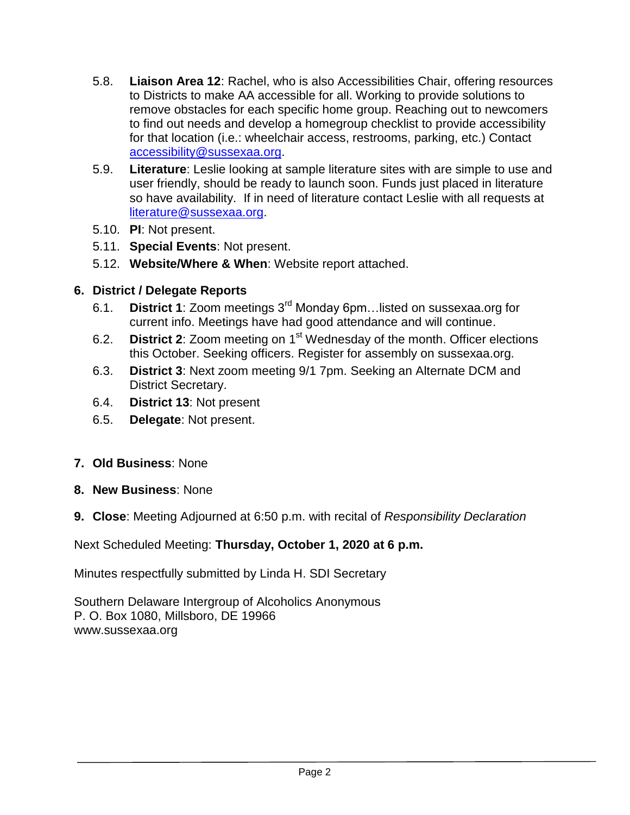- 5.8. **Liaison Area 12**: Rachel, who is also Accessibilities Chair, offering resources to Districts to make AA accessible for all. Working to provide solutions to remove obstacles for each specific home group. Reaching out to newcomers to find out needs and develop a homegroup checklist to provide accessibility for that location (i.e.: wheelchair access, restrooms, parking, etc.) Contact [accessibility@sussexaa.org.](mailto:accessibility@sussexaa.org)
- 5.9. **Literature**: Leslie looking at sample literature sites with are simple to use and user friendly, should be ready to launch soon. Funds just placed in literature so have availability. If in need of literature contact Leslie with all requests at [literature@sussexaa.org.](mailto:literature@sussexaa.org)
- 5.10. **PI**: Not present.
- 5.11. **Special Events**: Not present.
- 5.12. **Website/Where & When**: Website report attached.

# **6. District / Delegate Reports**

- 6.1. **District 1**: Zoom meetings 3rd Monday 6pm…listed on sussexaa.org for current info. Meetings have had good attendance and will continue.
- 6.2. **District 2**: Zoom meeting on 1<sup>st</sup> Wednesday of the month. Officer elections this October. Seeking officers. Register for assembly on sussexaa.org.
- 6.3. **District 3**: Next zoom meeting 9/1 7pm. Seeking an Alternate DCM and District Secretary.
- 6.4. **District 13**: Not present
- 6.5. **Delegate**: Not present.
- **7. Old Business**: None
- **8. New Business**: None
- **9. Close**: Meeting Adjourned at 6:50 p.m. with recital of *Responsibility Declaration*

Next Scheduled Meeting: **Thursday, October 1, 2020 at 6 p.m.**

Minutes respectfully submitted by Linda H. SDI Secretary

Southern Delaware Intergroup of Alcoholics Anonymous P. O. Box 1080, Millsboro, DE 19966 www.sussexaa.org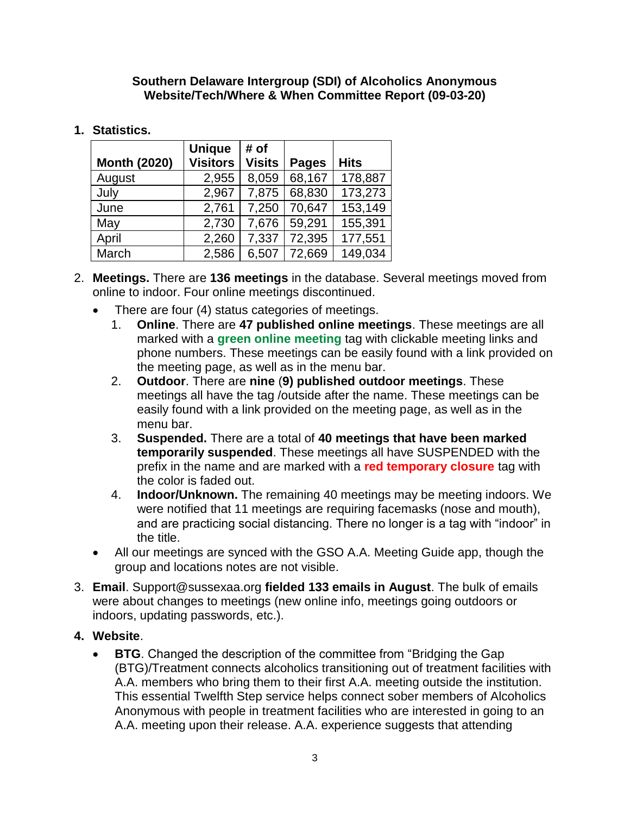#### **Southern Delaware Intergroup (SDI) of Alcoholics Anonymous Website/Tech/Where & When Committee Report (09-03-20)**

# **1. Statistics.**

| <b>Month (2020)</b> | <b>Unique</b><br><b>Visitors</b> | # of<br><b>Visits</b> | <b>Pages</b> | <b>Hits</b> |
|---------------------|----------------------------------|-----------------------|--------------|-------------|
| August              | 2,955                            | 8,059                 | 68,167       | 178,887     |
| July                | 2,967                            | 7,875                 | 68,830       | 173,273     |
| June                | 2,761                            | 7,250                 | 70,647       | 153,149     |
| May                 | 2,730                            | 7,676                 | 59,291       | 155,391     |
| April               | 2,260                            | 7,337                 | 72,395       | 177,551     |
| March               | 2,586                            | 6,507                 | 72,669       | 149,034     |

- 2. **Meetings.** There are **136 meetings** in the database. Several meetings moved from online to indoor. Four online meetings discontinued.
	- There are four (4) status categories of meetings.
		- 1. **Online**. There are **47 published online meetings**. These meetings are all marked with a **green online meeting** tag with clickable meeting links and phone numbers. These meetings can be easily found with a link provided on the meeting page, as well as in the menu bar.
		- 2. **Outdoor**. There are **nine** (**9) published outdoor meetings**. These meetings all have the tag /outside after the name. These meetings can be easily found with a link provided on the meeting page, as well as in the menu bar.
		- 3. **Suspended.** There are a total of **40 meetings that have been marked temporarily suspended**. These meetings all have SUSPENDED with the prefix in the name and are marked with a **red temporary closure** tag with the color is faded out.
		- 4. **Indoor/Unknown.** The remaining 40 meetings may be meeting indoors. We were notified that 11 meetings are requiring facemasks (nose and mouth), and are practicing social distancing. There no longer is a tag with "indoor" in the title.
	- All our meetings are synced with the GSO A.A. Meeting Guide app, though the group and locations notes are not visible.
- 3. **Email**. Support@sussexaa.org **fielded 133 emails in August**. The bulk of emails were about changes to meetings (new online info, meetings going outdoors or indoors, updating passwords, etc.).
- **4. Website**.
	- **BTG**. Changed the description of the committee from "Bridging the Gap (BTG)/Treatment connects alcoholics transitioning out of treatment facilities with A.A. members who bring them to their first A.A. meeting outside the institution. This essential Twelfth Step service helps connect sober members of Alcoholics Anonymous with people in treatment facilities who are interested in going to an A.A. meeting upon their release. A.A. experience suggests that attending